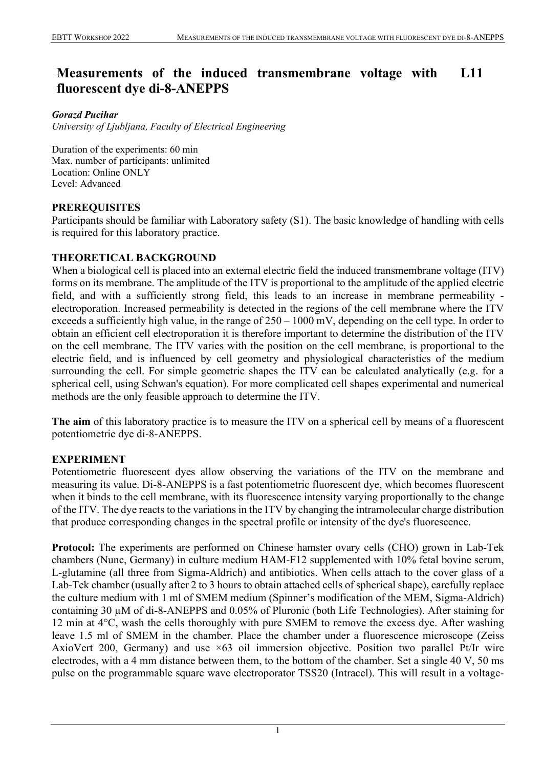#### **Measurements of the induced transmembrane voltage with fluorescent dye di-8-ANEPPS L11**

## *Gorazd Pucihar*

*University of Ljubljana, Faculty of Electrical Engineering*

Duration of the experiments: 60 min Max. number of participants: unlimited Location: Online ONLY Level: Advanced

# **PREREQUISITES**

Participants should be familiar with Laboratory safety (S1). The basic knowledge of handling with cells is required for this laboratory practice.

## **THEORETICAL BACKGROUND**

When a biological cell is placed into an external electric field the induced transmembrane voltage (ITV) forms on its membrane. The amplitude of the ITV is proportional to the amplitude of the applied electric field, and with a sufficiently strong field, this leads to an increase in membrane permeability electroporation. Increased permeability is detected in the regions of the cell membrane where the ITV exceeds a sufficiently high value, in the range of 250 – 1000 mV, depending on the cell type. In order to obtain an efficient cell electroporation it is therefore important to determine the distribution of the ITV on the cell membrane. The ITV varies with the position on the cell membrane, is proportional to the electric field, and is influenced by cell geometry and physiological characteristics of the medium surrounding the cell. For simple geometric shapes the ITV can be calculated analytically (e.g. for a spherical cell, using Schwan's equation). For more complicated cell shapes experimental and numerical methods are the only feasible approach to determine the ITV.

**The aim** of this laboratory practice is to measure the ITV on a spherical cell by means of a fluorescent potentiometric dye di-8-ANEPPS.

# **EXPERIMENT**

Potentiometric fluorescent dyes allow observing the variations of the ITV on the membrane and measuring its value. Di-8-ANEPPS is a fast potentiometric fluorescent dye, which becomes fluorescent when it binds to the cell membrane, with its fluorescence intensity varying proportionally to the change of the ITV. The dye reacts to the variations in the ITV by changing the intramolecular charge distribution that produce corresponding changes in the spectral profile or intensity of the dye's fluorescence.

**Protocol:** The experiments are performed on Chinese hamster ovary cells (CHO) grown in Lab-Tek chambers (Nunc, Germany) in culture medium HAM-F12 supplemented with 10% fetal bovine serum, L-glutamine (all three from Sigma-Aldrich) and antibiotics. When cells attach to the cover glass of a Lab-Tek chamber (usually after 2 to 3 hours to obtain attached cells of spherical shape), carefully replace the culture medium with 1 ml of SMEM medium (Spinner's modification of the MEM, Sigma-Aldrich) containing 30 µM of di-8-ANEPPS and 0.05% of Pluronic (both Life Technologies). After staining for 12 min at  $4^{\circ}$ C, wash the cells thoroughly with pure SMEM to remove the excess dye. After washing leave 1.5 ml of SMEM in the chamber. Place the chamber under a fluorescence microscope (Zeiss AxioVert 200, Germany) and use ×63 oil immersion objective. Position two parallel Pt/Ir wire electrodes, with a 4 mm distance between them, to the bottom of the chamber. Set a single 40 V, 50 ms pulse on the programmable square wave electroporator TSS20 (Intracel). This will result in a voltage-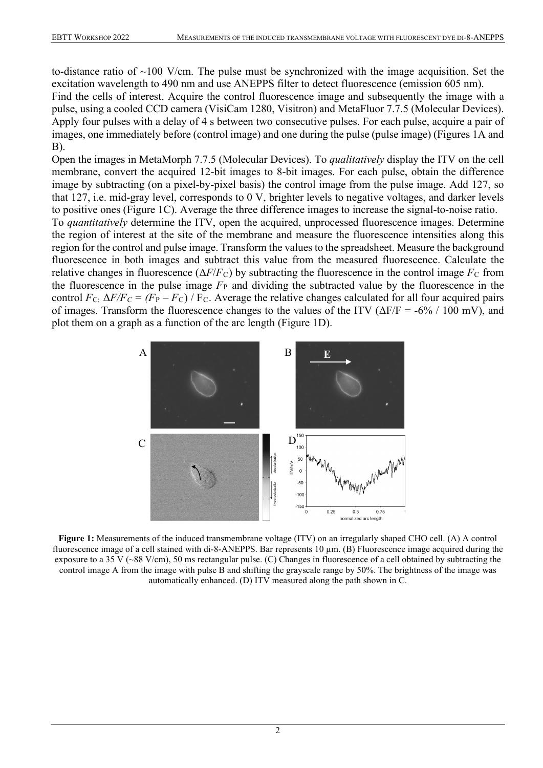to-distance ratio of  $\sim$ 100 V/cm. The pulse must be synchronized with the image acquisition. Set the excitation wavelength to 490 nm and use ANEPPS filter to detect fluorescence (emission 605 nm). Find the cells of interest. Acquire the control fluorescence image and subsequently the image with a pulse, using a cooled CCD camera (VisiCam 1280, Visitron) and MetaFluor 7.7.5 (Molecular Devices). Apply four pulses with a delay of 4 s between two consecutive pulses. For each pulse, acquire a pair of images, one immediately before (control image) and one during the pulse (pulse image) (Figures 1A and B).

Open the images in MetaMorph 7.7.5 (Molecular Devices). To *qualitatively* display the ITV on the cell membrane, convert the acquired 12-bit images to 8-bit images. For each pulse, obtain the difference image by subtracting (on a pixel-by-pixel basis) the control image from the pulse image. Add 127, so that 127, i.e. mid-gray level, corresponds to 0 V, brighter levels to negative voltages, and darker levels to positive ones (Figure 1C). Average the three difference images to increase the signal-to-noise ratio.

To *quantitatively* determine the ITV, open the acquired, unprocessed fluorescence images. Determine the region of interest at the site of the membrane and measure the fluorescence intensities along this region for the control and pulse image. Transform the values to the spreadsheet. Measure the background fluorescence in both images and subtract this value from the measured fluorescence. Calculate the relative changes in fluorescence ( $\Delta F/F_C$ ) by subtracting the fluorescence in the control image  $F_C$  from the fluorescence in the pulse image  $F_{\rm P}$  and dividing the subtracted value by the fluorescence in the control  $F_{\text{C}}$ ;  $\Delta F/F_C = (F_{\text{P}} - F_{\text{C}}) / F_C$ . Average the relative changes calculated for all four acquired pairs of images. Transform the fluorescence changes to the values of the ITV ( $\Delta F/F = -6\% / 100$  mV), and plot them on a graph as a function of the arc length (Figure 1D).



**Figure 1:** Measurements of the induced transmembrane voltage (ITV) on an irregularly shaped CHO cell. (A) A control fluorescence image of a cell stained with di-8-ANEPPS. Bar represents 10  $\mu$ m. (B) Fluorescence image acquired during the exposure to a 35 V (~88 V/cm), 50 ms rectangular pulse. (C) Changes in fluorescence of a cell obtained by subtracting the control image A from the image with pulse B and shifting the grayscale range by 50%. The brightness of the image was automatically enhanced. (D) ITV measured along the path shown in C.